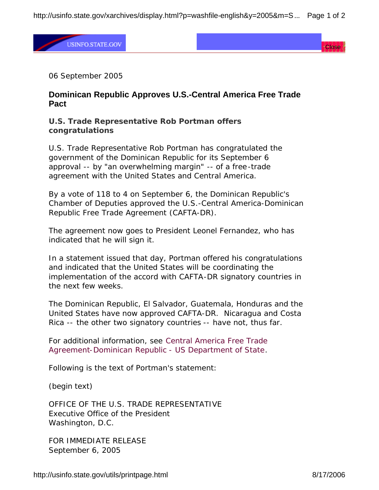http://usinfo.state.gov/xarchives/display.html?p=washfile-english&y=2005&m=S... Page 1 of 2

**USINFO.STATE.GOV** 

Close

06 September 2005

## **Dominican Republic Approves U.S.-Central America Free Trade Pact**

## **U.S. Trade Representative Rob Portman offers congratulations**

U.S. Trade Representative Rob Portman has congratulated the government of the Dominican Republic for its September 6 approval -- by "an overwhelming margin" -- of a free-trade agreement with the United States and Central America.

By a vote of 118 to 4 on September 6, the Dominican Republic's Chamber of Deputies approved the U.S.-Central America-Dominican Republic Free Trade Agreement (CAFTA-DR).

The agreement now goes to President Leonel Fernandez, who has indicated that he will sign it.

In a statement issued that day, Portman offered his congratulations and indicated that the United States will be coordinating the implementation of the accord with CAFTA-DR signatory countries in the next few weeks.

The Dominican Republic, El Salvador, Guatemala, Honduras and the United States have now approved CAFTA-DR. Nicaragua and Costa Rica -- the other two signatory countries -- have not, thus far.

For additional information, see Central America Free Trade Agreement-Dominican Republic - US Department of State*.*

Following is the text of Portman's statement:

(begin text)

OFFICE OF THE U.S. TRADE REPRESENTATIVE Executive Office of the President Washington, D.C.

FOR IMMEDIATE RELEASE September 6, 2005